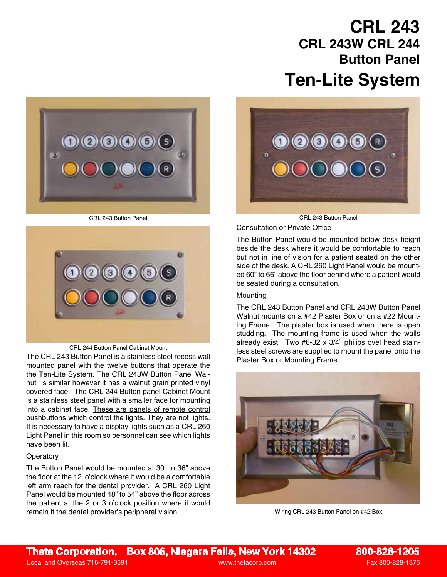# **Ten-Lite System CRL 243 CRL 243W CRL 244 Button Panel**





#### CRL 244 Button Panel Cabinet Mount

The CRL 243 Button Panel is a stainless steel recess wall Plaster Box or Mounting Frame. mounted panel with the twelve buttons that operate the the Ten-Lite System. The CRL 243W Button Panel Walnut is similar however it has a walnut grain printed vinyl covered face. The CRL 244 Button panel Cabinet Mount is a stainless steel panel with a smaller face for mounting into a cabinet face. These are panels of remote control pushbuttons which control the lights. They are not lights. It is necessary to have a display lights such as a CRL 260 Light Panel in this room so personnel can see which lights have been lit.

### **Operatory**

The Button Panel would be mounted at 30" to 36" above the floor at the 12 o'clock where it would be a comfortable left arm reach for the dental provider. A CRL 260 Light Panel would be mounted 48" to 54" above the floor across the patient at the 2 or 3 o'clock position where it would remain it the dental provider's peripheral vision.



CRL 243 Button Panel CRL 243 Button Panel

Consultation or Private Office

The Button Panel would be mounted below desk height beside the desk where it would be comfortable to reach but not in line of vision for a patient seated on the other side of the desk. A CRL 260 Light Panel would be mounted 60" to 66" above the floor behind where a patient would be seated during a consultation.

#### **Mounting**

The CRL 243 Button Panel and CRL 243W Button Panel Walnut mounts on a #42 Plaster Box or on a #22 Mounting Frame. The plaster box is used when there is open studding. The mounting frame is used when the walls already exist. Two #6-32 x 3/4" philips ovel head stainless steel screws are supplied to mount the panel onto the



Wiring CRL 243 Button Panel on #42 Box

**Theta Corporation, Box 806, Niagara Falls, New York 14302 800-828-1205**

Local and Overseas 716-791-3591 www.thetacorp.com Fax 800-828-1375